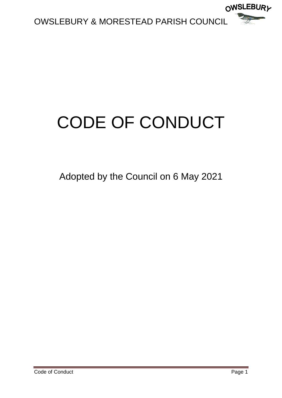

# CODE OF CONDUCT

Adopted by the Council on 6 May 2021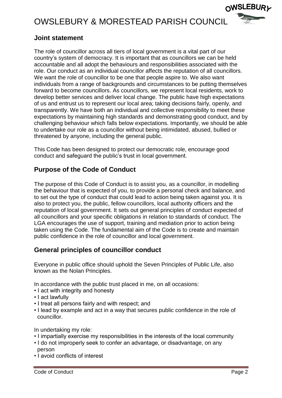

## **Joint statement**

The role of councillor across all tiers of local government is a vital part of our country's system of democracy. It is important that as councillors we can be held accountable and all adopt the behaviours and responsibilities associated with the role. Our conduct as an individual councillor affects the reputation of all councillors. We want the role of councillor to be one that people aspire to. We also want individuals from a range of backgrounds and circumstances to be putting themselves forward to become councillors. As councillors, we represent local residents, work to develop better services and deliver local change. The public have high expectations of us and entrust us to represent our local area; taking decisions fairly, openly, and transparently. We have both an individual and collective responsibility to meet these expectations by maintaining high standards and demonstrating good conduct, and by challenging behaviour which falls below expectations. Importantly, we should be able to undertake our role as a councillor without being intimidated, abused, bullied or threatened by anyone, including the general public.

This Code has been designed to protect our democratic role, encourage good conduct and safeguard the public's trust in local government.

# **Purpose of the Code of Conduct**

The purpose of this Code of Conduct is to assist you, as a councillor, in modelling the behaviour that is expected of you, to provide a personal check and balance, and to set out the type of conduct that could lead to action being taken against you. It is also to protect you, the public, fellow councillors, local authority officers and the reputation of local government. It sets out general principles of conduct expected of all councillors and your specific obligations in relation to standards of conduct. The LGA encourages the use of support, training and mediation prior to action being taken using the Code. The fundamental aim of the Code is to create and maintain public confidence in the role of councillor and local government.

## **General principles of councillor conduct**

Everyone in public office should uphold the Seven Principles of Public Life, also known as the Nolan Principles.

In accordance with the public trust placed in me, on all occasions:

- I act with integrity and honesty
- I act lawfully
- I treat all persons fairly and with respect; and
- I lead by example and act in a way that secures public confidence in the role of councillor.

In undertaking my role:

- I impartially exercise my responsibilities in the interests of the local community
- I do not improperly seek to confer an advantage, or disadvantage, on any person
- I avoid conflicts of interest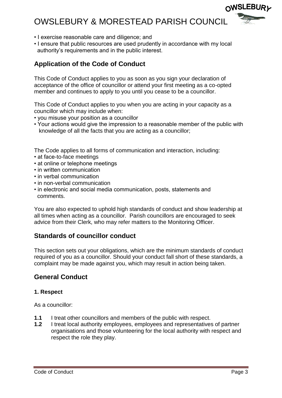- I exercise reasonable care and diligence; and
- I ensure that public resources are used prudently in accordance with my local authority's requirements and in the public interest.

## **Application of the Code of Conduct**

This Code of Conduct applies to you as soon as you sign your declaration of acceptance of the office of councillor or attend your first meeting as a co-opted member and continues to apply to you until you cease to be a councillor.

This Code of Conduct applies to you when you are acting in your capacity as a councillor which may include when:

- you misuse your position as a councillor
- Your actions would give the impression to a reasonable member of the public with knowledge of all the facts that you are acting as a councillor;

The Code applies to all forms of communication and interaction, including:

- at face-to-face meetings
- at online or telephone meetings
- in written communication
- in verbal communication
- in non-verbal communication
- in electronic and social media communication, posts, statements and comments.

You are also expected to uphold high standards of conduct and show leadership at all times when acting as a councillor. Parish councillors are encouraged to seek advice from their Clerk, who may refer matters to the Monitoring Officer.

## **Standards of councillor conduct**

This section sets out your obligations, which are the minimum standards of conduct required of you as a councillor. Should your conduct fall short of these standards, a complaint may be made against you, which may result in action being taken.

## **General Conduct**

#### **1. Respect**

As a councillor:

- **1.1** I treat other councillors and members of the public with respect.
- **1.2** I treat local authority employees, employees and representatives of partner organisations and those volunteering for the local authority with respect and respect the role they play.

**OWSLEBURL**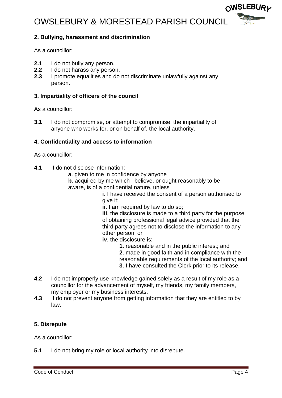

#### **2. Bullying, harassment and discrimination**

As a councillor:

- **2.1** I do not bully any person.
- **2.2** I do not harass any person.
- **2.3** I promote equalities and do not discriminate unlawfully against any person.

#### **3. Impartiality of officers of the council**

As a councillor:

**3.1** I do not compromise, or attempt to compromise, the impartiality of anyone who works for, or on behalf of, the local authority.

#### **4. Confidentiality and access to information**

As a councillor:

- **4.1** I do not disclose information:
	- **a**. given to me in confidence by anyone
	- **b**. acquired by me which I believe, or ought reasonably to be aware, is of a confidential nature, unless

**i**. I have received the consent of a person authorised to give it;

**ii.** I am required by law to do so:

**iii**. the disclosure is made to a third party for the purpose of obtaining professional legal advice provided that the third party agrees not to disclose the information to any other person; or

**iv**. the disclosure is:

- **1**. reasonable and in the public interest; and
- **2**. made in good faith and in compliance with the
- reasonable requirements of the local authority; and
- **3**. I have consulted the Clerk prior to its release.
- **4.2** I do not improperly use knowledge gained solely as a result of my role as a councillor for the advancement of myself, my friends, my family members, my employer or my business interests.
- **4.3** I do not prevent anyone from getting information that they are entitled to by law.

#### **5. Disrepute**

As a councillor:

**5.1** I do not bring my role or local authority into disrepute.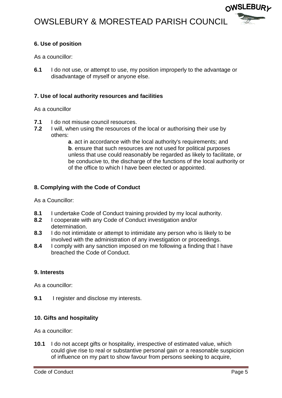

#### **6. Use of position**

As a councillor:

**6.1** I do not use, or attempt to use, my position improperly to the advantage or disadvantage of myself or anyone else.

#### **7. Use of local authority resources and facilities**

#### As a councillor

- **7.1** I do not misuse council resources.
- **7.2** I will, when using the resources of the local or authorising their use by others:

**a**. act in accordance with the local authority's requirements; and **b**. ensure that such resources are not used for political purposes unless that use could reasonably be regarded as likely to facilitate, or be conducive to, the discharge of the functions of the local authority or of the office to which I have been elected or appointed.

#### **8. Complying with the Code of Conduct**

As a Councillor:

- **8.1** I undertake Code of Conduct training provided by my local authority.
- **8.2** I cooperate with any Code of Conduct investigation and/or determination.
- **8.3** I do not intimidate or attempt to intimidate any person who is likely to be involved with the administration of any investigation or proceedings.
- **8.4** I comply with any sanction imposed on me following a finding that I have breached the Code of Conduct.

#### **9. Interests**

As a councillor:

**9.1** I register and disclose my interests.

#### **10. Gifts and hospitality**

As a councillor:

**10.1** I do not accept gifts or hospitality, irrespective of estimated value, which could give rise to real or substantive personal gain or a reasonable suspicion of influence on my part to show favour from persons seeking to acquire,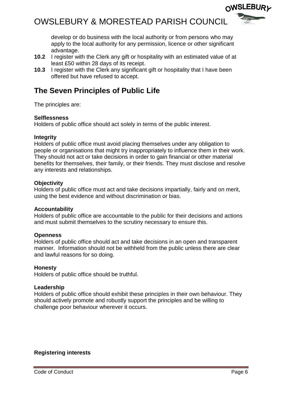

- **10.2** I register with the Clerk any gift or hospitality with an estimated value of at least £50 within 28 days of its receipt.
- **10.3** I register with the Clerk any significant gift or hospitality that I have been offered but have refused to accept.

# **The Seven Principles of Public Life**

The principles are:

#### **Selflessness**

Holders of public office should act solely in terms of the public interest.

#### **Integrity**

Holders of public office must avoid placing themselves under any obligation to people or organisations that might try inappropriately to influence them in their work. They should not act or take decisions in order to gain financial or other material benefits for themselves, their family, or their friends. They must disclose and resolve any interests and relationships.

#### **Objectivity**

Holders of public office must act and take decisions impartially, fairly and on merit, using the best evidence and without discrimination or bias.

#### **Accountability**

Holders of public office are accountable to the public for their decisions and actions and must submit themselves to the scrutiny necessary to ensure this.

#### **Openness**

Holders of public office should act and take decisions in an open and transparent manner. Information should not be withheld from the public unless there are clear and lawful reasons for so doing.

#### **Honesty**

Holders of public office should be truthful.

#### **Leadership**

Holders of public office should exhibit these principles in their own behaviour. They should actively promote and robustly support the principles and be willing to challenge poor behaviour wherever it occurs.

#### **Registering interests**

**OWSLEBURL**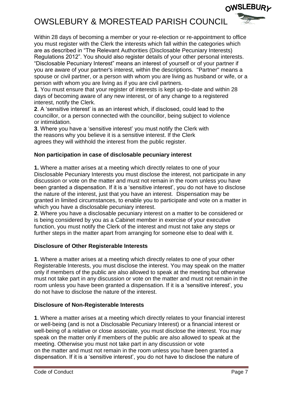Within 28 days of becoming a member or your re-election or re-appointment to office you must register with the Clerk the interests which fall within the categories which are as described in "The Relevant Authorities (Disclosable Pecuniary Interests) Regulations 2012". You should also register details of your other personal interests. "Disclosable Pecuniary Interest" means an interest of yourself or of your partner if you are aware of your partner's interest, within the descriptions. "Partner" means a spouse or civil partner, or a person with whom you are living as husband or wife, or a person with whom you are living as if you are civil partners.

**1**. You must ensure that your register of interests is kept up-to-date and within 28 days of becoming aware of any new interest, or of any change to a registered interest, notify the Clerk.

**2**. A 'sensitive interest' is as an interest which, if disclosed, could lead to the councillor, or a person connected with the councillor, being subject to violence or intimidation.

**3**. Where you have a 'sensitive interest' you must notify the Clerk with the reasons why you believe it is a sensitive interest. If the Clerk agrees they will withhold the interest from the public register.

#### **Non participation in case of disclosable pecuniary interest**

**1.** Where a matter arises at a meeting which directly relates to one of your Disclosable Pecuniary Interests you must disclose the interest, not participate in any discussion or vote on the matter and must not remain in the room unless you have been granted a dispensation. If it is a 'sensitive interest', you do not have to disclose the nature of the interest, just that you have an interest. Dispensation may be granted in limited circumstances, to enable you to participate and vote on a matter in which you have a disclosable pecuniary interest.

**2**. Where you have a disclosable pecuniary interest on a matter to be considered or is being considered by you as a Cabinet member in exercise of your executive function, you must notify the Clerk of the interest and must not take any steps or further steps in the matter apart from arranging for someone else to deal with it.

#### **Disclosure of Other Registerable Interests**

**1**. Where a matter arises at a meeting which directly relates to one of your other Registerable Interests, you must disclose the interest. You may speak on the matter only if members of the public are also allowed to speak at the meeting but otherwise must not take part in any discussion or vote on the matter and must not remain in the room unless you have been granted a dispensation. If it is a 'sensitive interest', you do not have to disclose the nature of the interest.

#### **Disclosure of Non-Registerable Interests**

**1**. Where a matter arises at a meeting which directly relates to your financial interest or well-being (and is not a Disclosable Pecuniary Interest) or a financial interest or well-being of a relative or close associate, you must disclose the interest. You may speak on the matter only if members of the public are also allowed to speak at the meeting. Otherwise you must not take part in any discussion or vote on the matter and must not remain in the room unless you have been granted a dispensation. If it is a 'sensitive interest', you do not have to disclose the nature of

∩WSLEBUR*y*